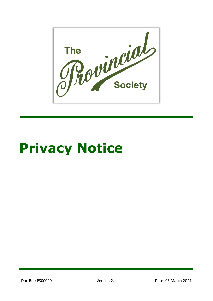

# **Privacy Notice**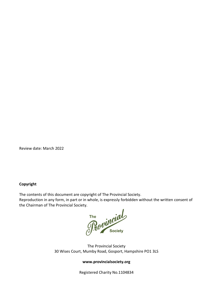Review date: March 2022

#### **Copyright**

The contents of this document are copyright of The Provincial Society.

Reproduction in any form, in part or in whole, is expressly forbidden without the written consent of the Chairman of The Provincial Society.

The **Society** 

The Provincial Society 30 Wises Court, Mumby Road, Gosport, Hampshire PO1 3LS

#### **www.provincialsociety.org**

Registered Charity No.1104834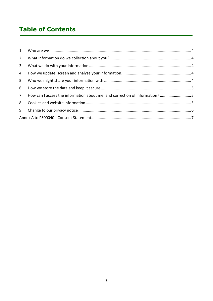## **Table of Contents**

|  | 7. How can I access the information about me, and correction of information? 5 |  |  |
|--|--------------------------------------------------------------------------------|--|--|
|  |                                                                                |  |  |
|  |                                                                                |  |  |
|  |                                                                                |  |  |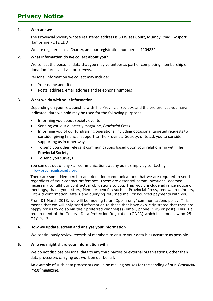### **Privacy Notice**

#### <span id="page-3-0"></span>**1. Who are we**

The Provincial Society whose registered address is 30 Wises Court, Mumby Road, Gosport Hampshire PO12 1DD

We are registered as a Charity, and our registration number is: 1104834

#### <span id="page-3-1"></span>**2. What information do we collect about you?**

We collect the personal data that you may volunteer as part of completing membership or donation forms and visitor surveys.

Personal information we collect may include:

- Your name and title
- Postal address, email address and telephone numbers

#### <span id="page-3-2"></span>**3. What we do with your information**

Depending on your relationship with The Provincial Society, and the preferences you have indicated, data we hold may be used for the following purposes:

- Informing you about Society events
- Sending you our quarterly magazine, *Provincial Press*
- Informing you of our fundraising operations, including occasional targeted requests to consider giving financial support to The Provincial Society, or to ask you to consider supporting us in other ways.
- To send you other relevant communications based upon your relationship with The Provincial Society.
- To send you surveys

You can opt out of any / all communications at any point simply by contacting [info@provincialsociety.org](mailto:info@provincialsociety.org)

There are some Membership and donation communications that we are required to send regardless of your contact preference. These are essential communications, deemed necessary to fulfil our contractual obligations to you. This would include advance notice of meetings, thank you letters, Member benefits such as Provincial Press, renewal reminders, Gift Aid confirmation letters and querying returned mail or bounced payments with you.

From 01 March 2018, we will be moving to an 'Opt-in only' communications policy. This means that we will only send information to those that have explicitly stated that they are happy for us to do so via their preferred channel(s) (email, phone, SMS or post). This is a requirement of the General Data Protection Regulation (GDPR) which becomes law on 25 May 2018.

#### <span id="page-3-3"></span>**4. How we update, screen and analyse your information**

We continuously review records of members to ensure your data is as accurate as possible.

#### <span id="page-3-4"></span>**5. Who we might share your information with**

We do not disclose personal data to any third parties or external organisations, other than data processors carrying out work on our behalf.

An example of such data processors would be mailing houses for the sending of our *'Provincial Press'* magazine.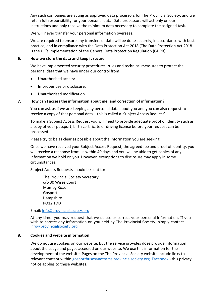Any such companies are acting as approved data processors for The Provincial Society, and we retain full responsibility for your personal data. Data processors will act only on our instructions and only receive the minimum data necessary to complete the assigned task.

We will never transfer your personal information overseas.

We are required to ensure any transfers of data will be done securely, in accordance with best practice, and in compliance with the Data Protection Act 2018 (The Data Protection Act 2018 is the UK's implementation of the General Data Protection Regulation (GDPR).

#### <span id="page-4-0"></span>**6. How we store the data and keep it secure**

We have implemented security procedures, rules and technical measures to protect the personal data that we have under our control from:

- Unauthorised access:
- Improper use or disclosure;
- Unauthorised modification.

#### <span id="page-4-1"></span>**7. How can I access the information about me, and correction of information?**

You can ask us if we are keeping any personal data about you and you can also request to receive a copy of that personal data – this is called a 'Subject Access Request'

To make a Subject Access Request you will need to provide adequate proof of identity such as a copy of your passport, birth certificate or driving licence before your request can be processed.

Please try to be as clear as possible about the information you are seeking.

Once we have received your Subject Access Request, the agreed fee and proof of identity, you will receive a response from us within 40 days and you will be able to get copies of any information we hold on you. However, exemptions to disclosure may apply in some circumstances.

Subject Access Requests should be sent to:

The Provincial Society Secretary c/o 30 Wises Court Mumby Road Gosport Hampshire PO12 1DD

Email: [info@provincialsociety.org](mailto:info@provincialsociety.org)

At any time, you may request that we delete or correct your personal information. If you wish to correct any information on you held by The Provincial Society, simply contact [info@provincialsociety.org](mailto:info@provincialsociety.org)

#### <span id="page-4-2"></span>**8. Cookies and website information**

We do not use cookies on our website, but the service provides does provide information about the usage and pages accessed on our website. We use this information for the development of the website. Pages on the The Provincial Society website include links to relevant content within [gosportbusesandtrams.provincialsociety.org,](http://gosportbusesandtrams.provincialsociety.org/) [Facebook](https://www.facebook.com/groups/Provincial.Society/) - this privacy notice applies to these websites.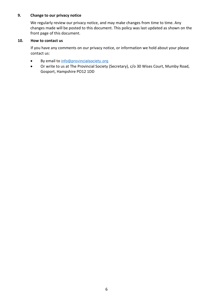#### <span id="page-5-0"></span>**9. Change to our privacy notice**

We regularly review our privacy notice, and may make changes from time to time. Any changes made will be posted to this document. This policy was last updated as shown on the front page of this document.

#### **10. How to contact us**

If you have any comments on our privacy notice, or information we hold about your please contact us:

- By email to [info@provincialsociety.org](mailto:info@provincialsociety.org)
- Or write to us at The Provincial Society (Secretary), c/o 30 Wises Court, Mumby Road, Gosport, Hampshire PO12 1DD